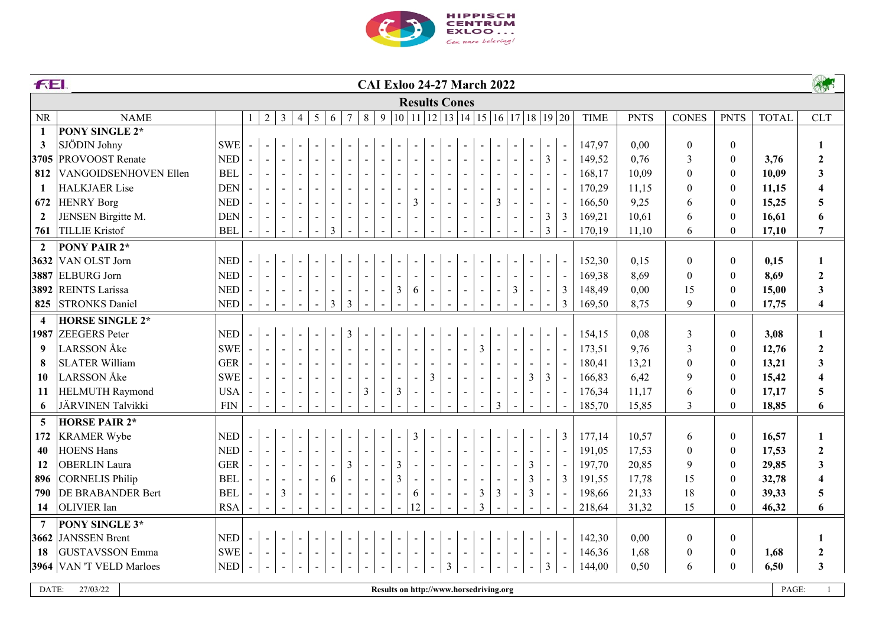

|                         | A<br><b>FEI.</b><br><b>CAI Exloo 24-27 March 2022</b> |                             |                |                |                          |                |                          |                          |                          |                          |                |                          |    |                                                                                                      |                          |                          |                          |                          |   |                          |                          |                |             |             |                  |                  |              |                         |
|-------------------------|-------------------------------------------------------|-----------------------------|----------------|----------------|--------------------------|----------------|--------------------------|--------------------------|--------------------------|--------------------------|----------------|--------------------------|----|------------------------------------------------------------------------------------------------------|--------------------------|--------------------------|--------------------------|--------------------------|---|--------------------------|--------------------------|----------------|-------------|-------------|------------------|------------------|--------------|-------------------------|
|                         |                                                       |                             |                |                |                          |                |                          |                          |                          |                          |                |                          |    | <b>Results Cones</b>                                                                                 |                          |                          |                          |                          |   |                          |                          |                |             |             |                  |                  |              |                         |
| <b>NR</b>               | <b>NAME</b>                                           |                             | $\mathbf{1}$   | $\overline{2}$ | $\mathfrak{Z}$           | $\overline{4}$ | 5                        | 6                        | $\overline{7}$           | $8\,$                    | 9              |                          |    | $\vert 10 \vert 11 \vert 12 \vert 13 \vert 14 \vert 15 \vert 16 \vert 17 \vert 18 \vert 19 \vert 20$ |                          |                          |                          |                          |   |                          |                          |                | <b>TIME</b> | <b>PNTS</b> | <b>CONES</b>     | <b>PNTS</b>      | <b>TOTAL</b> | <b>CLT</b>              |
| $\mathbf{1}$            | <b>PONY SINGLE 2*</b>                                 |                             |                |                |                          |                |                          |                          |                          |                          |                |                          |    |                                                                                                      |                          |                          |                          |                          |   |                          |                          |                |             |             |                  |                  |              |                         |
| 3                       | SJÖDIN Johny                                          | <b>SWE</b>                  | $\blacksquare$ | $\mathbf{r}$   |                          |                |                          |                          |                          |                          |                |                          |    |                                                                                                      |                          |                          |                          |                          |   |                          |                          |                | 147,97      | 0,00        | $\boldsymbol{0}$ | $\boldsymbol{0}$ |              | $\mathbf{1}$            |
| 3705                    | PROVOOST Renate                                       | <b>NED</b>                  | $\blacksquare$ | $\blacksquare$ | $\blacksquare$           | $\blacksquare$ |                          | $\blacksquare$           |                          | $\blacksquare$           |                |                          |    |                                                                                                      |                          |                          |                          |                          |   |                          | 3                        |                | 149,52      | 0,76        | 3                | $\boldsymbol{0}$ | 3,76         | $\overline{2}$          |
| 812                     | VANGOIDSENHOVEN Ellen                                 | <b>BEL</b>                  |                | $\blacksquare$ | $\sim$                   | $\blacksquare$ |                          | $\blacksquare$           |                          | $\blacksquare$           |                |                          |    |                                                                                                      |                          |                          |                          |                          |   |                          |                          |                | 168,17      | 10,09       | $\boldsymbol{0}$ | $\boldsymbol{0}$ | 10,09        | $\mathbf{3}$            |
| $\mathbf{1}$            | <b>HALKJAER Lise</b>                                  | <b>DEN</b>                  |                | $\sim$         | $\overline{\phantom{a}}$ | $\sim$         |                          | $\overline{\phantom{a}}$ |                          | $\blacksquare$           |                |                          |    |                                                                                                      |                          |                          |                          |                          |   |                          | $\blacksquare$           |                | 170,29      | 11,15       | $\mathbf{0}$     | $\boldsymbol{0}$ | 11,15        | $\overline{\mathbf{4}}$ |
| 672                     | <b>HENRY Borg</b>                                     | <b>NED</b>                  |                | $\blacksquare$ | $\blacksquare$           | $\blacksquare$ |                          | $\blacksquare$           | $\blacksquare$           | $\blacksquare$           |                | $\blacksquare$           | 3  |                                                                                                      |                          |                          |                          | $\overline{3}$           |   |                          | $\blacksquare$           |                | 166,50      | 9,25        | 6                | $\boldsymbol{0}$ | 15,25        | 5                       |
| $\overline{2}$          | JENSEN Birgitte M.                                    | <b>DEN</b>                  |                | $\blacksquare$ | $\overline{\phantom{a}}$ | $\blacksquare$ | $\overline{\phantom{a}}$ | $\blacksquare$           | $\blacksquare$           | $\sim$                   |                | $\overline{\phantom{a}}$ |    | $\overline{\phantom{a}}$                                                                             |                          | $\overline{\phantom{a}}$ |                          |                          |   | $\overline{\phantom{a}}$ | $\mathfrak{Z}$           | $\mathfrak{Z}$ | 169,21      | 10,61       | 6                | $\boldsymbol{0}$ | 16,61        | 6                       |
| 761                     | <b>TILLIE Kristof</b>                                 | <b>BEL</b>                  |                | $\sim$         |                          |                |                          | $\overline{3}$           |                          |                          |                |                          |    |                                                                                                      |                          |                          |                          |                          |   |                          | $\mathfrak{Z}$           |                | 170,19      | 11,10       | 6                | $\boldsymbol{0}$ | 17,10        | $\overline{7}$          |
| $\overline{2}$          | <b>PONY PAIR 2*</b>                                   |                             |                |                |                          |                |                          |                          |                          |                          |                |                          |    |                                                                                                      |                          |                          |                          |                          |   |                          |                          |                |             |             |                  |                  |              |                         |
| 3632                    | VAN OLST Jorn                                         | <b>NED</b>                  | $\blacksquare$ | $\mathbb{L}$   |                          |                |                          |                          |                          |                          |                |                          |    |                                                                                                      |                          |                          |                          |                          |   |                          |                          |                | 152,30      | 0,15        | $\mathbf{0}$     | $\boldsymbol{0}$ | 0,15         | $\mathbf{1}$            |
| 3887                    | <b>ELBURG</b> Jorn                                    | <b>NED</b>                  |                | $\mathbb{Z}^2$ | $\sim$                   | $\blacksquare$ |                          | $\blacksquare$           |                          | $\blacksquare$           |                |                          |    |                                                                                                      |                          |                          |                          |                          |   |                          |                          |                | 169,38      | 8,69        | $\mathbf{0}$     | $\boldsymbol{0}$ | 8,69         | $\boldsymbol{2}$        |
|                         | 3892 REINTS Larissa                                   | <b>NED</b>                  |                | $\blacksquare$ | $\blacksquare$           | $\blacksquare$ | $\blacksquare$           | $\blacksquare$           | $\blacksquare$           | $\blacksquare$           | $\blacksquare$ | $\mathfrak{Z}$           | 6  | $\overline{\phantom{a}}$                                                                             | $\blacksquare$           | $\overline{\phantom{0}}$ |                          | $\overline{\phantom{a}}$ | 3 | $\blacksquare$           | $\overline{\phantom{a}}$ | 3              | 148,49      | 0,00        | 15               | $\mathbf{0}$     | 15,00        | $\mathbf{3}$            |
| 825                     | <b>STRONKS</b> Daniel                                 | <b>NED</b>                  |                | $\mathbb{Z}^2$ | $\sim$                   | $\sim$         | $\mathbf{r}$             | $\overline{3}$           | $\overline{3}$           |                          |                |                          |    |                                                                                                      |                          |                          |                          |                          |   |                          |                          | 3              | 169,50      | 8,75        | 9                | $\overline{0}$   | 17,75        | $\overline{\mathbf{4}}$ |
| $\overline{\mathbf{4}}$ | <b>HORSE SINGLE 2*</b>                                |                             |                |                |                          |                |                          |                          |                          |                          |                |                          |    |                                                                                                      |                          |                          |                          |                          |   |                          |                          |                |             |             |                  |                  |              |                         |
| 1987                    | <b>ZEEGERS</b> Peter                                  | $\ensuremath{\mathsf{NED}}$ |                | $\blacksquare$ |                          |                |                          |                          | 3                        |                          |                |                          |    |                                                                                                      |                          |                          |                          |                          |   |                          |                          |                | 154,15      | 0,08        | $\mathfrak{Z}$   | $\boldsymbol{0}$ | 3,08         | $\mathbf{1}$            |
| 9                       | <b>LARSSON</b> Åke                                    | <b>SWE</b>                  | $\sim$         | $\blacksquare$ | $\blacksquare$           | $\blacksquare$ |                          | $\blacksquare$           |                          | $\overline{\phantom{a}}$ |                |                          |    |                                                                                                      |                          |                          | $\overline{3}$           |                          |   |                          |                          |                | 173,51      | 9,76        | $\mathfrak{Z}$   | $\mathbf{0}$     | 12,76        | $\boldsymbol{2}$        |
| 8                       | <b>SLATER William</b>                                 | <b>GER</b>                  |                | $\blacksquare$ | $\blacksquare$           | $\blacksquare$ |                          | $\overline{\phantom{a}}$ |                          | $\overline{\phantom{a}}$ |                |                          |    |                                                                                                      |                          |                          |                          |                          |   |                          | $\overline{\phantom{a}}$ |                | 180,41      | 13,21       | $\mathbf{0}$     | $\boldsymbol{0}$ | 13,21        | $\mathbf{3}$            |
| 10                      | <b>LARSSON</b> Åke                                    | <b>SWE</b>                  |                | $\sim$         | $\blacksquare$           |                | $\blacksquare$           | $\blacksquare$           | $\overline{\phantom{a}}$ | $\overline{\phantom{a}}$ | $\blacksquare$ | $\blacksquare$           |    | $\mathfrak{Z}$                                                                                       |                          | $\blacksquare$           |                          | $\blacksquare$           |   | $\mathfrak{Z}$           | $\mathfrak{Z}$           |                | 166,83      | 6,42        | $\boldsymbol{9}$ | $\mathbf{0}$     | 15,42        | $\overline{\mathbf{4}}$ |
| 11                      | <b>HELMUTH Raymond</b>                                | <b>USA</b>                  |                | $\blacksquare$ |                          | $\blacksquare$ | $\blacksquare$           | $\blacksquare$           | $\blacksquare$           | $\mathfrak{Z}$           | $\blacksquare$ | $\mathfrak{Z}$           |    | $\blacksquare$                                                                                       | $\blacksquare$           | $\blacksquare$           | $\overline{\phantom{a}}$ | $\overline{\phantom{a}}$ |   |                          | $\overline{\phantom{a}}$ |                | 176,34      | 11,17       | 6                | $\boldsymbol{0}$ | 17,17        | $\overline{5}$          |
| 6                       | JÄRVINEN Talvikki                                     | ${\rm FIN}$                 |                | $\sim$         |                          |                |                          |                          |                          |                          |                |                          |    |                                                                                                      |                          |                          |                          | $\overline{3}$           |   |                          |                          |                | 185,70      | 15,85       | $\overline{3}$   | $\mathbf{0}$     | 18,85        | 6                       |
| 5                       | <b>HORSE PAIR 2*</b>                                  |                             |                |                |                          |                |                          |                          |                          |                          |                |                          |    |                                                                                                      |                          |                          |                          |                          |   |                          |                          |                |             |             |                  |                  |              |                         |
| 172                     | <b>KRAMER Wybe</b>                                    | <b>NED</b>                  |                | $\blacksquare$ |                          |                |                          |                          |                          |                          |                |                          | 3  |                                                                                                      |                          |                          |                          |                          |   |                          |                          | 3              | 177,14      | 10,57       | 6                | $\boldsymbol{0}$ | 16,57        | $\mathbf{1}$            |
| 40                      | <b>HOENS Hans</b>                                     | <b>NED</b>                  | $\sim$         | $\blacksquare$ |                          |                |                          |                          |                          | $\blacksquare$           |                |                          |    |                                                                                                      |                          |                          |                          |                          |   |                          |                          |                | 191,05      | 17,53       | $\mathbf{0}$     | $\mathbf{0}$     | 17,53        | $\overline{2}$          |
| 12                      | <b>OBERLIN</b> Laura                                  | <b>GER</b>                  |                | $\mathbb{L}$   |                          |                |                          | $\blacksquare$           | $\mathfrak{Z}$           | $\blacksquare$           |                | $\mathfrak{Z}$           |    |                                                                                                      |                          |                          |                          |                          |   | 3                        |                          |                | 197,70      | 20,85       | 9                | $\boldsymbol{0}$ | 29,85        | $\mathbf{3}$            |
| 896                     | <b>CORNELIS Philip</b>                                | <b>BEL</b>                  |                | $\blacksquare$ |                          |                | $\blacksquare$           | 6                        |                          | $\blacksquare$           |                | $\mathfrak{Z}$           |    | $\blacksquare$                                                                                       |                          |                          |                          |                          |   | 3                        | $\overline{\phantom{a}}$ | 3              | 191,55      | 17,78       | 15               | $\mathbf{0}$     | 32,78        | $\overline{\mathbf{4}}$ |
| 790                     | DE BRABANDER Bert                                     | <b>BEL</b>                  |                | $\sim$         | $\mathfrak{Z}$           |                | $\sim$                   |                          |                          | $\sim$                   |                |                          | 6  |                                                                                                      |                          |                          | $\mathfrak{Z}$           | 3                        |   | 3                        |                          |                | 198,66      | 21,33       | 18               | $\boldsymbol{0}$ | 39,33        | $\overline{5}$          |
| 14                      | OLIVIER Ian                                           | <b>RSA</b>                  |                | $\sim$         |                          |                | $\sim$                   | $\sim$                   | $\sim$                   | $\sim$                   | $\sim$         | $\sim$                   | 12 |                                                                                                      |                          |                          | $\overline{3}$           |                          |   |                          |                          |                | 218,64      | 31,32       | 15               | $\overline{0}$   | 46,32        | 6                       |
| $\overline{7}$          | PONY SINGLE 3*                                        |                             |                |                |                          |                |                          |                          |                          |                          |                |                          |    |                                                                                                      |                          |                          |                          |                          |   |                          |                          |                |             |             |                  |                  |              |                         |
| 3662                    | JANSSEN Brent                                         | <b>NED</b>                  | $\blacksquare$ | $\blacksquare$ |                          |                |                          |                          |                          |                          |                |                          |    |                                                                                                      |                          |                          |                          |                          |   |                          |                          |                | 142,30      | 0,00        | $\boldsymbol{0}$ | $\boldsymbol{0}$ |              | $\mathbf{1}$            |
| 18                      | <b>GUSTAVSSON Emma</b>                                | <b>SWE</b>                  | $\sim$         | $\blacksquare$ |                          | $\blacksquare$ | $\overline{\phantom{a}}$ | $\blacksquare$           | $\sim$                   | $\blacksquare$           |                |                          |    | $\overline{\phantom{a}}$                                                                             | $\overline{\phantom{a}}$ | $\blacksquare$           | $\overline{\phantom{a}}$ | $\blacksquare$           |   |                          | $\overline{\phantom{a}}$ |                | 146,36      | 1,68        | $\boldsymbol{0}$ | $\boldsymbol{0}$ | 1,68         | $\boldsymbol{2}$        |
|                         | 3964 VAN 'T VELD Marloes                              | <b>NED</b>                  | $\blacksquare$ | $\blacksquare$ | $\blacksquare$           | $\blacksquare$ | $\blacksquare$           | $\blacksquare$           | $\blacksquare$           | $\blacksquare$           |                |                          |    | $\blacksquare$                                                                                       | 3                        |                          |                          |                          |   | $\blacksquare$           | 3                        |                | 144,00      | 0,50        | 6                | $\boldsymbol{0}$ | 6,50         | $\overline{\mathbf{3}}$ |
| DATE:                   | 27/03/22                                              |                             |                |                |                          |                |                          |                          |                          |                          |                |                          |    | Results on http://www.horsedriving.org                                                               |                          |                          |                          |                          |   |                          |                          |                |             |             |                  |                  | PAGE:        |                         |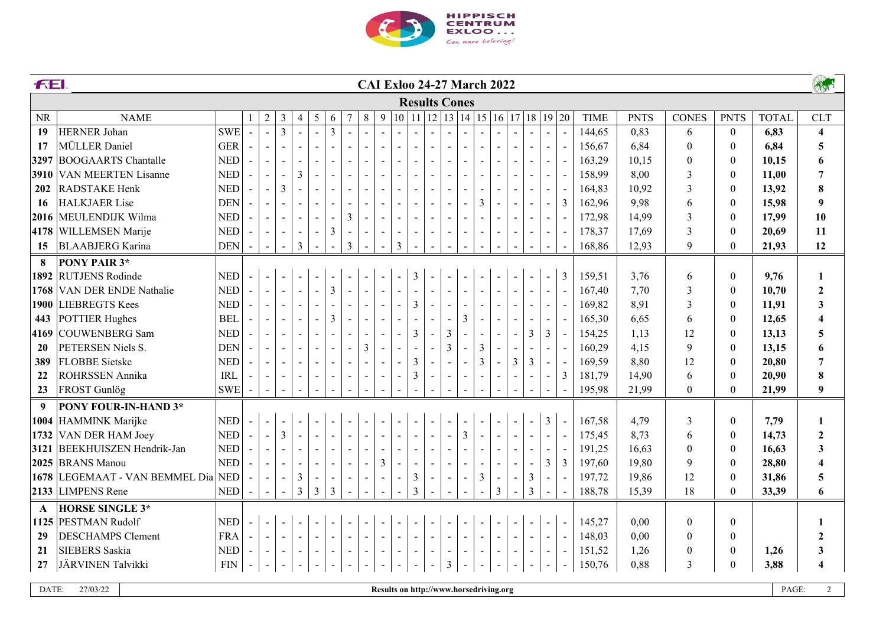

|              | <b>FEI</b><br><b>CAI Exloo 24-27 March 2022</b> |            |                |                          |                |                          |                          |                |                          |                          |                |                          |                          |                      | AS             |                                                                                                      |                          |                |                |                |                |   |                |             |             |                  |                  |              |                         |
|--------------|-------------------------------------------------|------------|----------------|--------------------------|----------------|--------------------------|--------------------------|----------------|--------------------------|--------------------------|----------------|--------------------------|--------------------------|----------------------|----------------|------------------------------------------------------------------------------------------------------|--------------------------|----------------|----------------|----------------|----------------|---|----------------|-------------|-------------|------------------|------------------|--------------|-------------------------|
|              |                                                 |            |                |                          |                |                          |                          |                |                          |                          |                |                          |                          | <b>Results Cones</b> |                |                                                                                                      |                          |                |                |                |                |   |                |             |             |                  |                  |              |                         |
| <b>NR</b>    | <b>NAME</b>                                     |            | 1              | $\overline{2}$           | $\mathfrak{Z}$ | $\overline{4}$           | 5                        | 6              | 7                        | $8\,$                    | 9              |                          |                          |                      |                | $\vert 10 \vert 11 \vert 12 \vert 13 \vert 14 \vert 15 \vert 16 \vert 17 \vert 18 \vert 19 \vert 20$ |                          |                |                |                |                |   |                | <b>TIME</b> | <b>PNTS</b> | <b>CONES</b>     | <b>PNTS</b>      | <b>TOTAL</b> | <b>CLT</b>              |
| 19           | HERNER Johan                                    | <b>SWE</b> | $\sim$         | $\mathbf{L}$             | $\overline{3}$ | $\mathbf{r}$             | $\overline{a}$           | $\mathfrak{Z}$ | $\overline{a}$           | $\mathbf{r}$             |                |                          |                          |                      |                |                                                                                                      |                          | $\sim$         | $\overline{a}$ | $\sim$         | $\blacksquare$ |   |                | 144,65      | 0,83        | 6                | $\boldsymbol{0}$ | 6,83         | $\overline{\mathbf{4}}$ |
| 17           | MÜLLER Daniel                                   | <b>GER</b> |                | $\blacksquare$           |                | $\sim$                   |                          |                |                          | $\sim$                   |                | $\blacksquare$           |                          |                      |                |                                                                                                      |                          | $\blacksquare$ |                | $\sim$         | $\mathbf{r}$   |   |                | 156,67      | 6,84        | $\boldsymbol{0}$ | $\boldsymbol{0}$ | 6,84         | $\overline{5}$          |
| 3297         | <b>BOOGAARTS</b> Chantalle                      | <b>NED</b> |                |                          |                |                          |                          | $\sim$         | $\blacksquare$           | $\blacksquare$           |                | $\overline{\phantom{a}}$ |                          |                      |                |                                                                                                      |                          |                |                |                | $\blacksquare$ |   |                | 163,29      | 10,15       | $\boldsymbol{0}$ | $\boldsymbol{0}$ | 10,15        | 6                       |
| 3910         | <b>VAN MEERTEN Lisanne</b>                      | <b>NED</b> |                |                          | $\sim$         | $\overline{3}$           |                          | $\sim$         |                          | $\overline{\phantom{a}}$ |                | $\blacksquare$           |                          |                      |                |                                                                                                      |                          |                |                |                | $\blacksquare$ |   |                | 158,99      | 8,00        | $\mathfrak{Z}$   | $\boldsymbol{0}$ | 11,00        | $\overline{7}$          |
| 202          | RADSTAKE Henk                                   | <b>NED</b> |                |                          | $\overline{3}$ |                          |                          | $\sim$         |                          | $\blacksquare$           |                | $\blacksquare$           |                          |                      |                |                                                                                                      |                          |                |                |                | $\blacksquare$ |   |                | 164,83      | 10,92       | $\mathfrak{Z}$   | $\mathbf{0}$     | 13,92        | $\pmb{8}$               |
| 16           | <b>HALKJAER</b> Lise                            | <b>DEN</b> |                |                          |                |                          |                          | $\blacksquare$ |                          | $\overline{\phantom{a}}$ |                | $\blacksquare$           |                          |                      |                |                                                                                                      | 3                        |                |                |                | $\mathbf{r}$   | 3 |                | 162,96      | 9,98        | 6                | $\boldsymbol{0}$ | 15,98        | $\boldsymbol{9}$        |
| 2016         | MEULENDIJK Wilma                                | <b>NED</b> |                | $\overline{\phantom{a}}$ | $\blacksquare$ | $\overline{\phantom{a}}$ |                          | $\blacksquare$ | 3                        | $\overline{\phantom{a}}$ |                | $\blacksquare$           |                          |                      |                | $\overline{a}$                                                                                       |                          |                |                | $\blacksquare$ | $\blacksquare$ |   |                | 172,98      | 14,99       | $\mathfrak{Z}$   | $\boldsymbol{0}$ | 17,99        | 10                      |
|              | 4178 WILLEMSEN Marije                           | <b>NED</b> |                | $\overline{\phantom{a}}$ |                | $\blacksquare$           | $\overline{\phantom{a}}$ | 3              | $\overline{\phantom{a}}$ | $\blacksquare$           |                | $\overline{\phantom{a}}$ |                          | $\blacksquare$       |                | $\overline{a}$                                                                                       |                          |                |                | $\blacksquare$ | $\blacksquare$ |   |                | 178,37      | 17,69       | $\mathfrak{Z}$   | $\boldsymbol{0}$ | 20,69        | 11                      |
| 15           | <b>BLAABJERG</b> Karina                         | <b>DEN</b> |                | $\blacksquare$           | $\blacksquare$ | $\mathfrak{Z}$           |                          | $\sim$         | $\mathfrak{Z}$           | $\overline{\phantom{a}}$ | $\blacksquare$ | $\mathfrak{Z}$           |                          |                      |                |                                                                                                      |                          |                |                |                |                |   |                | 168,86      | 12,93       | 9                | $\boldsymbol{0}$ | 21,93        | 12                      |
| 8            | PONY PAIR 3*                                    |            |                |                          |                |                          |                          |                |                          |                          |                |                          |                          |                      |                |                                                                                                      |                          |                |                |                |                |   |                |             |             |                  |                  |              |                         |
| 1892         | <b>RUTJENS</b> Rodinde                          | <b>NED</b> | $\mathbb{Z}^2$ | $\blacksquare$           |                |                          |                          |                |                          |                          |                |                          | 3                        |                      |                |                                                                                                      |                          |                |                |                |                | 3 |                | 159,51      | 3,76        | 6                | $\overline{0}$   | 9,76         | 1                       |
| 1768         | <b>VAN DER ENDE Nathalie</b>                    | <b>NED</b> |                | $\blacksquare$           | $\sim$         | $\overline{\phantom{a}}$ | $\overline{\phantom{a}}$ | $\mathfrak{Z}$ | $\overline{\phantom{a}}$ | $\blacksquare$           |                |                          |                          |                      |                |                                                                                                      |                          |                |                |                | $\blacksquare$ |   |                | 167,40      | 7,70        | $\mathfrak{Z}$   | $\boldsymbol{0}$ | 10,70        | $\boldsymbol{2}$        |
| 1900         | <b>LIEBREGTS</b> Kees                           | <b>NED</b> |                | $\blacksquare$           |                | $\blacksquare$           | $\blacksquare$           |                | $\blacksquare$           | $\blacksquare$           |                | $\blacksquare$           | 3                        | $\blacksquare$       |                |                                                                                                      |                          |                |                |                | $\blacksquare$ |   |                | 169,82      | 8,91        | $\mathfrak{Z}$   | $\boldsymbol{0}$ | 11,91        | $\mathbf{3}$            |
| 443          | POTTIER Hughes                                  | <b>BEL</b> |                | $\blacksquare$           |                | $\blacksquare$           | $\blacksquare$           | 3              | $\blacksquare$           | $\blacksquare$           |                |                          |                          |                      |                | 3                                                                                                    |                          |                |                |                | $\blacksquare$ |   |                | 165,30      | 6,65        | 6                | $\theta$         | 12,65        | $\overline{\mathbf{4}}$ |
| 4169         | COUWENBERG Sam                                  | <b>NED</b> |                | $\blacksquare$           |                | $\blacksquare$           | $\overline{\phantom{a}}$ | $\blacksquare$ | $\overline{\phantom{a}}$ | $\overline{\phantom{a}}$ |                | $\blacksquare$           | 3                        | $\blacksquare$       | 3              |                                                                                                      |                          |                |                | $\overline{3}$ | 3              |   |                | 154,25      | 1,13        | 12               | $\boldsymbol{0}$ | 13,13        | $5\overline{)}$         |
| 20           | PETERSEN Niels S.                               | <b>DEN</b> |                | $\sim$                   |                | $\sim$                   |                          | $\sim$         | $\overline{\phantom{a}}$ | $\overline{3}$           | $\blacksquare$ | $\blacksquare$           |                          | $\overline{a}$       | $\mathfrak{Z}$ |                                                                                                      | 3                        |                |                |                | $\blacksquare$ |   |                | 160,29      | 4,15        | 9                | $\overline{0}$   | 13,15        | 6                       |
| 389          | <b>FLOBBE</b> Sietske                           | <b>NED</b> |                | $\blacksquare$           |                | $\blacksquare$           | $\overline{\phantom{a}}$ | $\blacksquare$ | $\overline{\phantom{a}}$ | $\overline{\phantom{a}}$ |                | $\overline{\phantom{a}}$ | 3                        | $\overline{a}$       |                |                                                                                                      | 3                        | $\mathbf{r}$   | 3              | 3              | $\blacksquare$ |   |                | 169,59      | 8,80        | 12               | $\boldsymbol{0}$ | 20,80        | $\overline{7}$          |
| 22           | <b>ROHRSSEN Annika</b>                          | <b>IRL</b> |                |                          |                |                          |                          | $\blacksquare$ |                          |                          |                | $\blacksquare$           | 3                        |                      |                |                                                                                                      |                          |                |                |                | $\blacksquare$ | 3 |                | 181,79      | 14,90       | 6                | $\boldsymbol{0}$ | 20,90        | $\bf{8}$                |
| 23           | FROST Gunlög                                    | <b>SWE</b> |                | $\sim$                   | $\sim$         | $\sim$                   | $\sim$                   | $\sim$         | $\sim$                   | $\sim$                   |                |                          |                          |                      |                |                                                                                                      |                          |                |                |                |                |   |                | 195,98      | 21,99       | $\overline{0}$   | $\overline{0}$   | 21,99        | 9                       |
| 9            | PONY FOUR-IN-HAND 3*                            |            |                |                          |                |                          |                          |                |                          |                          |                |                          |                          |                      |                |                                                                                                      |                          |                |                |                |                |   |                |             |             |                  |                  |              |                         |
|              | 1004 HAMMINK Marijke                            | <b>NED</b> | $\mathbb{Z}^2$ | $\blacksquare$           |                | $\blacksquare$           | $\overline{\phantom{a}}$ | $\blacksquare$ | $\overline{\phantom{a}}$ | $\blacksquare$           | $\overline{a}$ | $\blacksquare$           | $\overline{a}$           | $\sim$               |                |                                                                                                      |                          | $\sim$         | $\sim$         | $\sim$         | $\mathfrak{Z}$ |   |                | 167,58      | 4,79        | $\mathfrak{Z}$   | $\boldsymbol{0}$ | 7,79         | $\mathbf{1}$            |
| 1732         | VAN DER HAM Joey                                | <b>NED</b> | $\sim$         | $\blacksquare$           | $\overline{3}$ | $\sim$                   | $\blacksquare$           | $\sim$         | $\blacksquare$           | $\blacksquare$           | $\blacksquare$ | $\blacksquare$           | $\blacksquare$           | $\blacksquare$       | $\blacksquare$ | $\mathfrak{Z}$                                                                                       | $\overline{\phantom{a}}$ | $\blacksquare$ | $\blacksquare$ | $\blacksquare$ | $\blacksquare$ |   |                | 175,45      | 8,73        | 6                | $\boldsymbol{0}$ | 14,73        | $\boldsymbol{2}$        |
| 3121         | <b>BEEKHUISZEN Hendrik-Jan</b>                  | <b>NED</b> | $\sim$         | $\blacksquare$           | $\blacksquare$ | $\blacksquare$           | $\overline{\phantom{a}}$ | $\blacksquare$ | $\blacksquare$           | $\blacksquare$           | $\blacksquare$ | $\blacksquare$           | $\overline{\phantom{a}}$ |                      |                |                                                                                                      |                          | $\blacksquare$ |                |                | $\blacksquare$ |   |                | 191,25      | 16,63       | $\boldsymbol{0}$ | $\boldsymbol{0}$ | 16,63        | $\mathbf{3}$            |
|              | 2025 BRANS Manou                                | <b>NED</b> |                |                          |                | $\blacksquare$           | $\sim$                   | $\sim$         | $\blacksquare$           | $\blacksquare$           | $\mathfrak{Z}$ | $\overline{\phantom{a}}$ | $\blacksquare$           | $\blacksquare$       | $\blacksquare$ | ÷                                                                                                    | $\blacksquare$           | $\blacksquare$ | $\blacksquare$ |                | 3              | 3 |                | 197,60      | 19,80       | $\mathfrak{g}$   | $\boldsymbol{0}$ | 28,80        | $\overline{\mathbf{4}}$ |
| 1678         | LEGEMAAT - VAN BEMMEL Dia                       | <b>NED</b> |                | $\blacksquare$           | $\sim$         | 3                        | $\sim$                   | $\sim$         | $\sim$                   | $\blacksquare$           | $\blacksquare$ | $\blacksquare$           | $\mathfrak{Z}$           | $\blacksquare$       | $\blacksquare$ | $\blacksquare$                                                                                       | $\mathfrak{Z}$           | $\blacksquare$ | $\blacksquare$ | $\mathfrak{Z}$ | $\blacksquare$ |   | $\blacksquare$ | 197,72      | 19,86       | 12               | $\boldsymbol{0}$ | 31,86        | $\overline{\mathbf{5}}$ |
|              | 2133 LIMPENS Rene                               | <b>NED</b> |                | $\sim$                   | $\sim$         | $\overline{3}$           | $\mathfrak{Z}$           | $\overline{3}$ | $\sim$                   | $\blacksquare$           | $\sim$         | $\blacksquare$           | $\mathfrak{Z}$           |                      |                |                                                                                                      |                          | 3              |                | $\mathfrak{Z}$ |                |   |                | 188,78      | 15,39       | 18               | $\boldsymbol{0}$ | 33,39        | 6                       |
| $\mathbf{A}$ | <b>HORSE SINGLE 3*</b>                          |            |                |                          |                |                          |                          |                |                          |                          |                |                          |                          |                      |                |                                                                                                      |                          |                |                |                |                |   |                |             |             |                  |                  |              |                         |
| 1125         | <b>PESTMAN Rudolf</b>                           | <b>NED</b> | $\blacksquare$ | $\blacksquare$           |                |                          | $\blacksquare$           |                | $\blacksquare$           |                          |                |                          |                          |                      |                |                                                                                                      |                          |                |                |                |                |   |                | 145,27      | 0,00        | $\boldsymbol{0}$ | $\boldsymbol{0}$ |              | $\mathbf{1}$            |
| 29           | <b>DESCHAMPS Clement</b>                        | <b>FRA</b> | $\sim$         | $\blacksquare$           | $\blacksquare$ | $\blacksquare$           | $\sim$                   | $\sim$         | $\sim$                   | $\blacksquare$           |                |                          |                          |                      |                |                                                                                                      |                          |                |                |                |                |   |                | 148,03      | 0,00        | $\boldsymbol{0}$ | $\boldsymbol{0}$ |              | $\boldsymbol{2}$        |
| 21           | <b>SIEBERS</b> Saskia                           | <b>NED</b> |                |                          |                |                          |                          | $\sim$         |                          | $\blacksquare$           |                |                          |                          |                      |                | $\blacksquare$                                                                                       |                          |                |                |                |                |   |                | 151,52      | 1,26        | $\boldsymbol{0}$ | $\boldsymbol{0}$ | 1,26         | $\mathbf{3}$            |
| 27           | JÄRVINEN Talvikki                               | <b>FIN</b> |                | $\blacksquare$           |                | $\blacksquare$           | $\overline{\phantom{a}}$ | $\sim$         | $\blacksquare$           | $\blacksquare$           |                | $\blacksquare$           | $\blacksquare$           | $\blacksquare$       | $\mathfrak{Z}$ | $\sim$                                                                                               | $\blacksquare$           |                |                |                |                |   |                | 150,76      | 0,88        | $\overline{3}$   | $\theta$         | 3,88         | $\overline{\mathbf{4}}$ |
| DATE:        | 27/03/22                                        |            |                |                          |                |                          |                          |                |                          |                          |                |                          |                          |                      |                | Results on http://www.horsedriving.org                                                               |                          |                |                |                |                |   |                |             |             |                  |                  | PAGE:        | 2                       |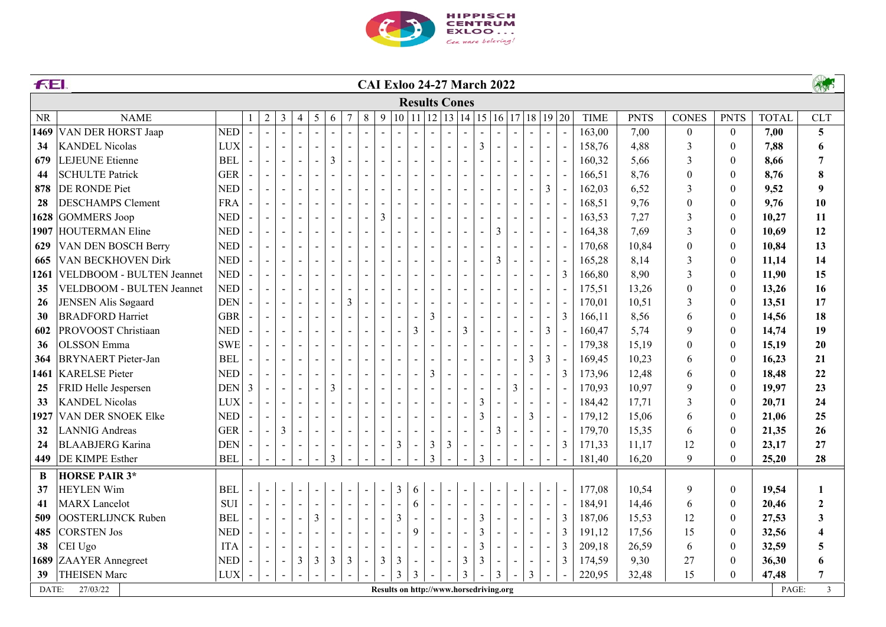

|                                                                                                                                                                                                                                                                               | <b>FEI</b><br><b>CAI Exloo 24-27 March 2022</b> |            |              |                |                          |                          |                          |                          |                          |                          |                          |                          |                          |                                                                           | AND                      |                          |                          |                |                          |                          |                          |                |             |             |                  |                  |              |                         |
|-------------------------------------------------------------------------------------------------------------------------------------------------------------------------------------------------------------------------------------------------------------------------------|-------------------------------------------------|------------|--------------|----------------|--------------------------|--------------------------|--------------------------|--------------------------|--------------------------|--------------------------|--------------------------|--------------------------|--------------------------|---------------------------------------------------------------------------|--------------------------|--------------------------|--------------------------|----------------|--------------------------|--------------------------|--------------------------|----------------|-------------|-------------|------------------|------------------|--------------|-------------------------|
|                                                                                                                                                                                                                                                                               |                                                 |            |              |                |                          |                          |                          |                          |                          |                          |                          |                          |                          | <b>Results Cones</b>                                                      |                          |                          |                          |                |                          |                          |                          |                |             |             |                  |                  |              |                         |
| <b>NR</b>                                                                                                                                                                                                                                                                     | <b>NAME</b>                                     |            | $\mathbf{1}$ | $\sqrt{2}$     | $\mathfrak{Z}$           | $\overline{4}$           | $5\,$                    | 6                        | $\overline{7}$           | $\,8\,$                  | 9                        |                          |                          | $\vert 10 \vert 11 \vert 12 \vert 13 \vert 14 \vert 15 \vert 16 \vert 17$ |                          |                          |                          |                |                          |                          |                          | 18 19 20       | <b>TIME</b> | <b>PNTS</b> | <b>CONES</b>     | <b>PNTS</b>      | <b>TOTAL</b> | <b>CLT</b>              |
| 1469                                                                                                                                                                                                                                                                          | <b>VAN DER HORST Jaap</b>                       | <b>NED</b> |              | $\mathbf{r}$   | $\overline{a}$           | $\blacksquare$           |                          | $\mathbf{r}$             |                          | $\mathbf{r}$             |                          |                          |                          |                                                                           |                          | $\overline{a}$           | $\overline{a}$           |                |                          |                          | $\blacksquare$           |                | 163,00      | 7,00        | $\boldsymbol{0}$ | $\mathbf{0}$     | 7,00         | $5\phantom{.0}$         |
| 34                                                                                                                                                                                                                                                                            | <b>KANDEL Nicolas</b>                           | <b>LUX</b> |              | $\blacksquare$ | $\sim$                   | $\blacksquare$           | $\sim$                   | $\blacksquare$           | $\sim$                   | $\overline{a}$           |                          |                          |                          |                                                                           |                          | $\overline{a}$           | $\mathfrak{Z}$           |                |                          | $\overline{a}$           | $\sim$                   |                | 158,76      | 4,88        | 3                | $\mathbf{0}$     | 7,88         | 6                       |
| 679                                                                                                                                                                                                                                                                           | LEJEUNE Etienne                                 | <b>BEL</b> |              | $\blacksquare$ | $\sim$                   | $\blacksquare$           | $\blacksquare$           | $\mathfrak{Z}$           | $\sim$                   | $\overline{a}$           |                          | $\overline{a}$           |                          | $\overline{a}$                                                            |                          | $\overline{a}$           |                          |                |                          | $\sim$                   | $\blacksquare$           |                | 160,32      | 5,66        | 3                | $\boldsymbol{0}$ | 8,66         | $\overline{7}$          |
| 44                                                                                                                                                                                                                                                                            | <b>SCHULTE Patrick</b>                          | <b>GER</b> |              | $\blacksquare$ | $\blacksquare$           | $\blacksquare$           |                          |                          |                          |                          |                          |                          |                          |                                                                           |                          |                          |                          |                |                          |                          | $\blacksquare$           |                | 166,51      | 8,76        | $\boldsymbol{0}$ | $\boldsymbol{0}$ | 8,76         | $\pmb{8}$               |
| 878                                                                                                                                                                                                                                                                           | DE RONDE Piet                                   | <b>NED</b> |              | $\blacksquare$ |                          | $\blacksquare$           |                          | $\blacksquare$           |                          | $\blacksquare$           |                          |                          |                          |                                                                           |                          | $\overline{a}$           |                          |                |                          | $\sim$                   | 3                        |                | 162,03      | 6,52        | 3                | $\boldsymbol{0}$ | 9,52         | $\boldsymbol{9}$        |
| 28                                                                                                                                                                                                                                                                            | <b>DESCHAMPS Clement</b>                        | <b>FRA</b> |              | $\sim$         |                          | $\blacksquare$           | $\blacksquare$           | $\sim$                   |                          |                          |                          |                          |                          |                                                                           |                          |                          |                          |                |                          |                          | $\blacksquare$           |                | 168,51      | 9,76        | $\boldsymbol{0}$ | $\boldsymbol{0}$ | 9,76         | 10                      |
| 1628                                                                                                                                                                                                                                                                          | GOMMERS Joop                                    | <b>NED</b> |              | $\sim$         | $\sim$                   | $\sim$                   | $\sim$                   | $\sim$                   | $\overline{a}$           | $\overline{a}$           | 3                        |                          |                          |                                                                           |                          |                          |                          |                |                          |                          | $\sim$                   |                | 163,53      | 7,27        | 3                | $\boldsymbol{0}$ | 10,27        | 11                      |
| 1907                                                                                                                                                                                                                                                                          | <b>HOUTERMAN Eline</b>                          | <b>NED</b> |              | $\mathbf{r}$   | $\sim$                   | $\sim$                   | $\sim$                   | $\sim$                   | $\sim$                   | $\overline{a}$           |                          |                          |                          |                                                                           |                          | $\overline{a}$           | $\overline{a}$           | 3              |                          | $\sim$                   | $\sim$                   |                | 164,38      | 7,69        | $\mathfrak{Z}$   | $\boldsymbol{0}$ | 10,69        | 12                      |
| 629                                                                                                                                                                                                                                                                           | VAN DEN BOSCH Berry                             | <b>NED</b> |              | $\blacksquare$ | $\sim$                   | $\sim$                   | $\overline{\phantom{a}}$ | $\sim$                   | $\overline{\phantom{a}}$ | $\overline{a}$           |                          |                          |                          |                                                                           |                          |                          |                          |                |                          |                          | $\sim$                   |                | 170,68      | 10,84       | $\boldsymbol{0}$ | $\boldsymbol{0}$ | 10,84        | 13                      |
| 665                                                                                                                                                                                                                                                                           | VAN BECKHOVEN Dirk                              | <b>NED</b> |              | $\blacksquare$ | $\blacksquare$           | $\sim$                   | $\overline{\phantom{a}}$ | $\blacksquare$           | $\overline{\phantom{a}}$ | $\blacksquare$           |                          | $\blacksquare$           |                          |                                                                           |                          | $\mathbf{r}$             | $\blacksquare$           | 3              |                          | $\sim$                   | $\blacksquare$           |                | 165,28      | 8,14        | 3                | $\boldsymbol{0}$ | 11,14        | 14                      |
| 1261                                                                                                                                                                                                                                                                          | VELDBOOM - BULTEN Jeannet                       | <b>NED</b> |              | $\blacksquare$ | $\blacksquare$           | $\blacksquare$           | $\blacksquare$           | $\overline{\phantom{a}}$ | $\blacksquare$           | $\blacksquare$           |                          | $\blacksquare$           |                          | $\blacksquare$                                                            |                          | $\blacksquare$           |                          |                |                          |                          | $\overline{\phantom{a}}$ | 3              | 166,80      | 8,90        | 3                | $\boldsymbol{0}$ | 11,90        | 15                      |
| 35                                                                                                                                                                                                                                                                            | VELDBOOM - BULTEN Jeannet                       | <b>NED</b> |              | $\blacksquare$ | $\blacksquare$           | $\blacksquare$           | $\overline{\phantom{a}}$ | $\blacksquare$           | $\blacksquare$           | $\overline{\phantom{a}}$ |                          |                          |                          |                                                                           |                          |                          |                          |                |                          |                          | $\blacksquare$           |                | 175,51      | 13,26       | $\boldsymbol{0}$ | $\boldsymbol{0}$ | 13,26        | 16                      |
| 26                                                                                                                                                                                                                                                                            | JENSEN Alis Søgaard                             | <b>DEN</b> |              | $\blacksquare$ | $\sim$                   | $\blacksquare$           | $\overline{\phantom{a}}$ | $\sim$                   | 3                        | $\overline{a}$           |                          |                          |                          |                                                                           |                          |                          |                          |                |                          | $\sim$                   | $\blacksquare$           |                | 170,01      | 10,51       | 3                | $\boldsymbol{0}$ | 13,51        | 17                      |
| 30                                                                                                                                                                                                                                                                            | <b>BRADFORD Harriet</b>                         | <b>GBR</b> |              | $\blacksquare$ | $\blacksquare$           | $\blacksquare$           | $\blacksquare$           | $\sim$                   |                          | $\blacksquare$           |                          |                          |                          | $\overline{3}$                                                            |                          |                          |                          |                |                          | $\sim$                   | $\blacksquare$           | $\overline{3}$ | 166,11      | 8,56        | 6                | $\boldsymbol{0}$ | 14,56        | 18                      |
| 602                                                                                                                                                                                                                                                                           | PROVOOST Christiaan                             | <b>NED</b> |              | $\omega$       | $\blacksquare$           | $\sim$                   | $\blacksquare$           | $\blacksquare$           | $\overline{\phantom{a}}$ | $\blacksquare$           |                          | $\blacksquare$           | 3                        |                                                                           | $\overline{a}$           | $\overline{3}$           | $\blacksquare$           | $\sim$         |                          | $\sim$                   | $\overline{3}$           |                | 160,47      | 5,74        | 9                | $\boldsymbol{0}$ | 14,74        | 19                      |
| 36                                                                                                                                                                                                                                                                            | <b>OLSSON</b> Emma                              | <b>SWE</b> |              | $\blacksquare$ | $\blacksquare$           | $\blacksquare$           | $\blacksquare$           | $\blacksquare$           | $\overline{\phantom{a}}$ | $\blacksquare$           |                          | $\blacksquare$           |                          |                                                                           |                          |                          |                          |                |                          | $\blacksquare$           | $\overline{\phantom{a}}$ |                | 179,38      | 15,19       | $\boldsymbol{0}$ | $\boldsymbol{0}$ | 15,19        | 20                      |
| 364                                                                                                                                                                                                                                                                           | <b>BRYNAERT</b> Pieter-Jan                      | <b>BEL</b> |              | $\blacksquare$ | $\blacksquare$           | $\blacksquare$           | $\overline{\phantom{a}}$ | $\overline{\phantom{a}}$ | $\overline{\phantom{a}}$ | $\overline{a}$           |                          | $\overline{\phantom{a}}$ |                          |                                                                           |                          | $\overline{\phantom{a}}$ |                          |                |                          | 3                        | 3                        |                | 169,45      | 10,23       | 6                | $\boldsymbol{0}$ | 16,23        | 21                      |
| 1461                                                                                                                                                                                                                                                                          | <b>KARELSE</b> Pieter                           | <b>NED</b> |              | $\blacksquare$ | $\overline{\phantom{a}}$ | $\overline{\phantom{a}}$ | $\overline{\phantom{a}}$ | $\overline{\phantom{a}}$ | $\overline{\phantom{a}}$ | $\qquad \qquad -$        |                          | $\blacksquare$           | $\sim$                   | 3                                                                         | $\qquad \qquad -$        | $\overline{\phantom{a}}$ | $\blacksquare$           | $\sim$         |                          | $\sim$                   | $\blacksquare$           | 3              | 173,96      | 12,48       | 6                | $\boldsymbol{0}$ | 18,48        | $22\,$                  |
| 25                                                                                                                                                                                                                                                                            | FRID Helle Jespersen                            | <b>DEN</b> | 3            | $\blacksquare$ | $\blacksquare$           | $\blacksquare$           | $\overline{\phantom{a}}$ | $\mathfrak{Z}$           | $\blacksquare$           | $\blacksquare$           |                          | $\blacksquare$           |                          | $\overline{\phantom{a}}$                                                  | $\blacksquare$           | $\blacksquare$           | $\blacksquare$           | $\blacksquare$ | 3                        | $\blacksquare$           | $\blacksquare$           |                | 170,93      | 10,97       | 9                | $\boldsymbol{0}$ | 19,97        | 23                      |
| 33                                                                                                                                                                                                                                                                            | <b>KANDEL Nicolas</b>                           | <b>LUX</b> |              | $\blacksquare$ | $\blacksquare$           | $\blacksquare$           | $\blacksquare$           | $\blacksquare$           | $\blacksquare$           | $\overline{\phantom{a}}$ |                          | $\blacksquare$           |                          | $\blacksquare$                                                            | $\overline{a}$           | $\blacksquare$           | $\mathfrak{Z}$           |                |                          | $\blacksquare$           | $\blacksquare$           |                | 184,42      | 17,71       | 3                | $\boldsymbol{0}$ | 20,71        | 24                      |
| 1927                                                                                                                                                                                                                                                                          | <b>VAN DER SNOEK Elke</b>                       | <b>NED</b> |              | $\blacksquare$ | $\blacksquare$           | $\blacksquare$           | $\blacksquare$           | $\blacksquare$           | $\blacksquare$           | $\blacksquare$           |                          | $\blacksquare$           | $\blacksquare$           | $\blacksquare$                                                            | $\blacksquare$           | $\blacksquare$           | 3                        |                |                          | 3                        | $\blacksquare$           |                | 179,12      | 15,06       | 6                | $\boldsymbol{0}$ | 21,06        | 25                      |
| 32                                                                                                                                                                                                                                                                            | <b>LANNIG</b> Andreas                           | <b>GER</b> |              | $\blacksquare$ | 3                        | $\blacksquare$           | $\overline{\phantom{a}}$ | $\overline{\phantom{a}}$ |                          |                          |                          |                          |                          | $\overline{\phantom{a}}$                                                  |                          | $\overline{\phantom{a}}$ | $\overline{\phantom{a}}$ | 3              |                          |                          | $\blacksquare$           |                | 179,70      | 15,35       | 6                | $\boldsymbol{0}$ | 21,35        | 26                      |
| 24                                                                                                                                                                                                                                                                            | <b>BLAABJERG</b> Karina                         | <b>DEN</b> |              | $\blacksquare$ | $\blacksquare$           |                          | $\blacksquare$           | $\blacksquare$           | $\blacksquare$           | $\blacksquare$           | $\blacksquare$           | $\mathfrak{Z}$           |                          | $\mathfrak{Z}$                                                            | 3                        | $\blacksquare$           |                          |                |                          | $\blacksquare$           | $\blacksquare$           | 3              | 171,33      | 11,17       | 12               | $\boldsymbol{0}$ | 23,17        | 27                      |
| 449                                                                                                                                                                                                                                                                           | <b>DE KIMPE Esther</b>                          | <b>BEL</b> |              | $\blacksquare$ | $\blacksquare$           | $\blacksquare$           | $\blacksquare$           | $\mathfrak{Z}$           | $\blacksquare$           | $\blacksquare$           |                          |                          |                          | $\mathfrak{Z}$                                                            |                          |                          | 3                        |                |                          |                          |                          |                | 181,40      | 16,20       | 9                | $\theta$         | 25,20        | 28                      |
| B                                                                                                                                                                                                                                                                             | <b>HORSE PAIR 3*</b>                            |            |              |                |                          |                          |                          |                          |                          |                          |                          |                          |                          |                                                                           |                          |                          |                          |                |                          |                          |                          |                |             |             |                  |                  |              |                         |
| 37                                                                                                                                                                                                                                                                            | <b>HEYLEN Wim</b>                               | <b>BEL</b> |              | $\blacksquare$ | $\sim$                   |                          |                          |                          |                          |                          |                          | 3                        | 6                        |                                                                           |                          |                          |                          |                |                          |                          |                          |                | 177,08      | 10,54       | 9                | $\mathbf{0}$     | 19,54        | $\mathbf{1}$            |
| 41                                                                                                                                                                                                                                                                            | <b>MARX</b> Lancelot                            | SUI        |              | $\omega$       | $\mathbb{Z}^2$           | $\blacksquare$           | $\blacksquare$           | $\blacksquare$           | $\blacksquare$           | $\overline{a}$           | $\overline{\phantom{a}}$ | $\overline{\phantom{a}}$ | 6                        | $\blacksquare$                                                            | $\overline{a}$           | $\overline{a}$           | $\overline{a}$           | $\sim$         | $\sim$                   |                          | $\sim$                   |                | 184,91      | 14,46       | 6                | $\boldsymbol{0}$ | 20,46        | $\overline{2}$          |
| 509                                                                                                                                                                                                                                                                           | <b>OOSTERLIJNCK Ruben</b>                       | <b>BEL</b> |              | $\sim$         | $\blacksquare$           | $\sim$                   | $\overline{3}$           | $\sim$                   | $\blacksquare$           | $\overline{a}$           | $\sim$                   | $\overline{3}$           | $\blacksquare$           | $\mathbf{r}$                                                              | $\sim$                   | $\overline{a}$           | $\overline{3}$           | $\sim$         | $\sim$                   | $\sim$                   | $\blacksquare$           | 3              | 187,06      | 15,53       | 12               | $\mathbf{0}$     | 27,53        | $\overline{\mathbf{3}}$ |
| 485                                                                                                                                                                                                                                                                           | <b>CORSTEN Jos</b>                              | <b>NED</b> |              | $\blacksquare$ | $\blacksquare$           | $\blacksquare$           | $\overline{\phantom{a}}$ | $\blacksquare$           | $\overline{\phantom{a}}$ | $\blacksquare$           | $\overline{a}$           | $\blacksquare$           | 9                        | $\overline{\phantom{a}}$                                                  | $\overline{\phantom{a}}$ | $\overline{\phantom{a}}$ | $\overline{3}$           |                |                          |                          | $\overline{\phantom{a}}$ | 3              | 191,12      | 17,56       | 15               | $\mathbf{0}$     | 32,56        | $\overline{\mathbf{4}}$ |
| 38                                                                                                                                                                                                                                                                            | CEI Ugo                                         | <b>ITA</b> |              | $\blacksquare$ | $\blacksquare$           | $\blacksquare$           | $\blacksquare$           | $\blacksquare$           | $\overline{\phantom{a}}$ | $\overline{a}$           | $\overline{a}$           | $\overline{\phantom{a}}$ | $\overline{\phantom{m}}$ | $\overline{\phantom{a}}$                                                  | $\overline{\phantom{a}}$ | $\overline{\phantom{a}}$ | 3                        |                |                          |                          | $\blacksquare$           | 3              | 209,18      | 26,59       | 6                | $\mathbf{0}$     | 32,59        | 5                       |
| 1689                                                                                                                                                                                                                                                                          | <b>ZAAYER</b> Annegreet                         | <b>NED</b> |              | $\blacksquare$ | $\blacksquare$           | $\mathfrak{Z}$           | $\mathfrak{Z}$           | $\mathfrak{Z}$           | $\mathfrak{Z}$           | $\overline{\phantom{a}}$ | $\mathfrak{Z}$           | $\mathfrak{Z}$           | $\overline{\phantom{a}}$ | $\overline{\phantom{a}}$                                                  | $\overline{\phantom{a}}$ | $\overline{3}$           | $\mathfrak{Z}$           | $\blacksquare$ | $\overline{\phantom{a}}$ | $\overline{\phantom{a}}$ | $\blacksquare$           | 3              | 174,59      | 9,30        | 27               | $\boldsymbol{0}$ | 36,30        | 6                       |
| $\overline{3}$<br>$\overline{3}$<br><b>THEISEN Marc</b><br>$\overline{3}$<br>3<br>220,95<br>32,48<br>15<br>$\Omega$<br>47,48<br>39<br>$_{\mbox{\text{LUX}}}$<br>3<br>$\blacksquare$<br>$\blacksquare$<br>$\blacksquare$<br>$\blacksquare$<br>$\blacksquare$<br>$\blacksquare$ |                                                 |            |              |                |                          |                          |                          |                          |                          |                          |                          |                          | $\overline{7}$           |                                                                           |                          |                          |                          |                |                          |                          |                          |                |             |             |                  |                  |              |                         |
| DATE:                                                                                                                                                                                                                                                                         | 27/03/22                                        |            |              |                |                          |                          |                          |                          |                          |                          |                          |                          |                          | Results on http://www.horsedriving.org                                    |                          |                          |                          |                |                          |                          |                          |                |             |             |                  |                  | PAGE:        | $\mathfrak{Z}$          |